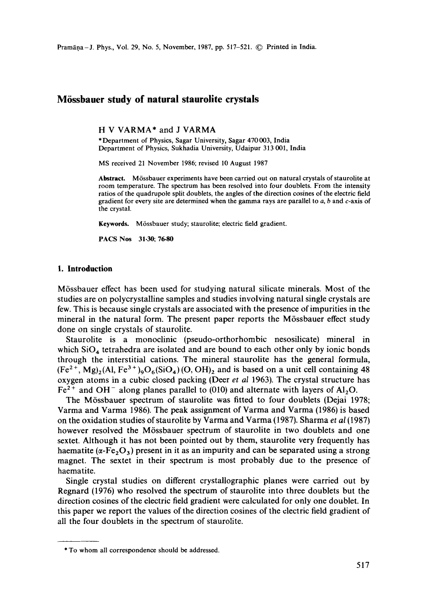# **M6ssbauer study of natural staurolite crystals**

H V VARMA\* and J VARMA

\*Department of Physics, Sagar University, Sagar 470003, India Department of Physics, Sukhadia University, Udaipur 313 001, India

MS received 21 November 1986; revised 10 August 1987

**Abstract.** M6ssbauer experiments have been carried out on natural crystals of staurolite at room temperature. The spectrum has been resolved into four doublets. From the intensity ratios of the quadrupole split doublets, the angles of the direction cosines of the electric field gradient for every site are determined when the gamma rays are parallel to  $a$ ,  $b$  and  $c$ -axis of the crystal.

Keywords. Mössbauer study; staurolite; electric field gradient.

**PACS Nos 31.30; 76.80** 

#### **1. Introduction**

M6ssbauer effect has been used for studying natural silicate minerals. Most of the studies are on polycrystalline samples and studies involving natural single crystals are few. This is because single crystals are associated with the presence of impurities in the mineral in the natural form. The present paper reports the M6ssbauer effect study done on single crystals of staurolite.

Staurolite is a monoclinic (pseudo-orthorhombic nesosilicate) mineral in which  $SiO<sub>4</sub>$  tetrahedra are isolated and are bound to each other only by ionic bonds through the interstitial cations. The mineral staurolite has the general formula,  $(Fe<sup>2+</sup>, Mg)<sub>2</sub>(Al, Fe<sup>3+</sup>)<sub>9</sub>O<sub>6</sub>(SiO<sub>4</sub>)(O, OH)<sub>2</sub>$  and is based on a unit cell containing 48 oxygen atoms in a cubic closed packing (Deer *et al* 1963). The crystal structure has  $Fe<sup>2+</sup>$  and OH<sup>-</sup> along planes parallel to (010) and alternate with layers of Al<sub>2</sub>O.

The M6ssbauer spectrum of staurolite was fitted to four doublets (Dejai 1978; Varma and Varma 1986). The peak assignment of Varma and Varma (1986) is based on the oxidation studies of staurolite by Varma and Varma (1987). Sharma *et al* (1987) however resolved the Mössbauer spectrum of staurolite in two doublets and one sextet. Although it has not been pointed out by them, staurolite very frequently has haematite ( $\alpha$ -Fe<sub>2</sub>O<sub>3</sub>) present in it as an impurity and can be separated using a strong magnet. The sextet in their spectrum is most probably due to the presence of haematite.

Single crystal studies on different crystallographic planes were carried out by Regnard (1976) who resolved the spectrum of staurolite into three doublets but the direction cosines of the electric field gradient were calculated for only one doublet. In this paper we report the values of the direction cosines of the electric field gradient of all the four doublets in the spectrum of staurolite.

<sup>\*</sup> To whom all correspondence should be addressed.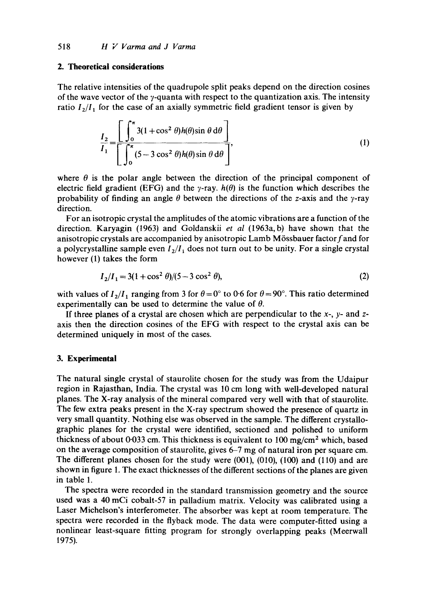### **2. Theoretical considerations**

The relative intensities of the quadrupole split peaks depend on the direction cosines of the wave vector of the  $\gamma$ -quanta with respect to the quantization axis. The intensity ratio  $I_2/I_1$  for the case of an axially symmetric field gradient tensor is given by

$$
\frac{I_2}{I_1} = \frac{\left[\int_0^{\pi} 3(1 + \cos^2 \theta) h(\theta) \sin \theta \, d\theta \right]}{\left[\int_0^{\pi} (5 - 3 \cos^2 \theta) h(\theta) \sin \theta \, d\theta \right]},
$$
\n(1)

where  $\theta$  is the polar angle between the direction of the principal component of electric field gradient (EFG) and the  $\gamma$ -ray,  $h(\theta)$  is the function which describes the probability of finding an angle  $\theta$  between the directions of the z-axis and the y-ray direction.

For an isotropic crystal the amplitudes of the atomic vibrations are a function of the direction. Karyagin (1963) and Goldanskii *et al* (1963a, b) have shown that the anisotropic crystals are accompanied by anisotropic Lamb Mössbauer factor  $f$  and for a polycrystalline sample even  $I_2/I_1$  does not turn out to be unity. For a single crystal however (1) takes the form

$$
I_2/I_1 = 3(1 + \cos^2 \theta)/(5 - 3\cos^2 \theta),\tag{2}
$$

with values of  $I_2/I_1$  ranging from 3 for  $\theta=0^\circ$  to 0.6 for  $\theta=90^\circ$ . This ratio determined experimentally can be used to determine the value of  $\theta$ .

If three planes of a crystal are chosen which are perpendicular to the  $x$ -,  $y$ - and  $z$ axis then the direction cosines of the EFG with respect to the crystal axis can be determined uniquely in most of the cases.

## **3. Experimental**

The natural single crystal of staurolite chosen for the study was from the Udaipur region in Rajasthan, India. The crystal was 10 cm long with well-developed natural planes. The X-ray analysis of the mineral compared very well with that of staurolite. The few extra peaks present in the X-ray spectrum showed the presence of quartz in very small quantity. Nothing else was observed in the sample. The different crystallographic planes for the crystal were identified, sectioned and polished to uniform thickness of about 0.033 cm. This thickness is equivalent to 100 mg/cm<sup>2</sup> which, based on the average composition of staurolite, gives 6-7 mg of natural iron per square cm. The different planes chosen for the study were (001), (010), (100) and (110) and are shown in figure 1. The exact thicknesses of the different sections of the planes are given in table 1.

The spectra were recorded in the standard transmission geometry and the source used was a 40 mCi cobalt-57 in palladium matrix. Velocity was calibrated using a Laser Michelson's interferometer. The absorber was kept at room temperature. The spectra were recorded in the flyback mode. The data were computer-fitted using a nonlinear least-square fitting program for strongly overlapping peaks (Meerwall 1975).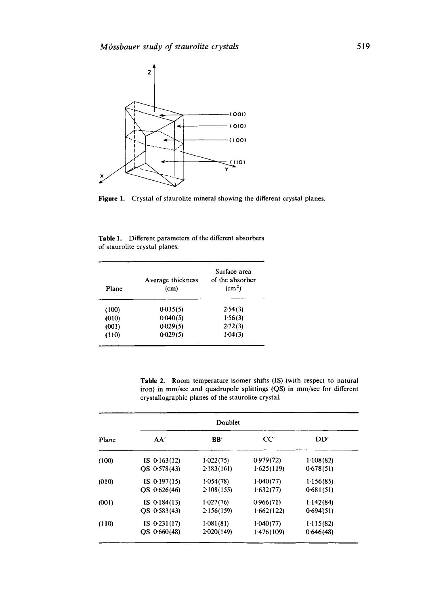

Figure 1. Crystal of staurolite mineral showing the different crystal planes.

**Table** !. Different parameters of the different absorbers of staurolite crystal planes.

| Plane | Average thickness<br>(c <sub>m</sub> ) | Surface area<br>of the absorber<br>$\rm (cm^2)$ |  |
|-------|----------------------------------------|-------------------------------------------------|--|
| (100) | $0-035(5)$                             | 2.54(3)                                         |  |
| (010) | 0.040(5)                               | 1.56(3)                                         |  |
| (001) | 0.029(5)                               | 2.72(3)                                         |  |
| (110) | 0.029(5)                               | 1.04(3)                                         |  |

Table 2. Room temperature isomer shifts (IS) (with respect to natural iron) in mm/sec and quadrupole splittings (QS) in mm/sec for different crystallographic planes of the staurolite crystal.

|       |                | Doublet    |            |           |
|-------|----------------|------------|------------|-----------|
| Plane | AA'            | BB'        | CC'        | DD'       |
| (100) | IS $0.163(12)$ | 1.022(75)  | 0.979(72)  | 1.108(82) |
|       | $OS$ 0.578(43) | 2.183(161) | 1.625(119) | 0.678(51) |
| (010) | IS $0.197(15)$ | 1.054(78)  | 1.040(77)  | 1.156(85) |
|       | OS 0-626(46)   | 2.108(155) | 1.632(77)  | 0.681(51) |
| (001) | IS $0.184(13)$ | 1.027(76)  | 0.966(71)  | 1.142(84) |
|       | $OS$ 0.583(43) | 2.156(159) | 1.662(122) | 0.694(51) |
| (110) | IS $0.231(17)$ | 1.081(81)  | 1 040 (77) | 1.115(82) |
|       | QS 0.660(48)   | 2.020(149) | 1.476(109) | 0.646(48) |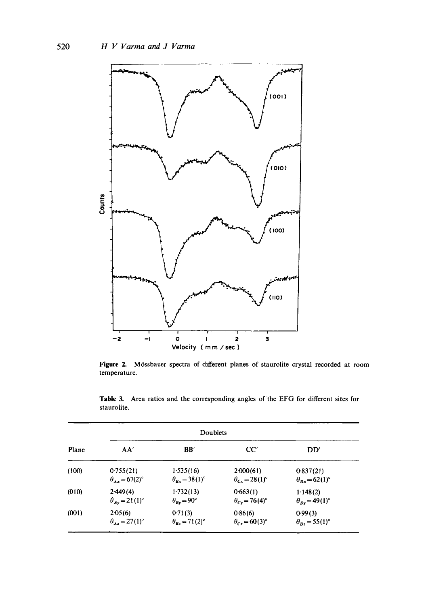

Figure 2. Mössbauer spectra of different planes of staurolite crystal recorded at room temperature.

|       | Doublets                     |                                  |                              |                                           |  |  |
|-------|------------------------------|----------------------------------|------------------------------|-------------------------------------------|--|--|
| Plane | AA'                          | $\bf BB'$                        | CC'                          | DD'                                       |  |  |
| (100) | 0.755(21)                    | 1.535(16)                        | $2-000(61)$                  | 0.837(21)                                 |  |  |
|       | $\theta_{Ax} = 67(2)^\circ$  | $\theta_{Bx} = 38(1)^\circ$      | $\theta_{Cx} = 28(1)^\circ$  | $\theta_{\text{D}x}$ = 62(1) <sup>o</sup> |  |  |
| (010) | 2.449(4)                     | 1.732(13)                        | 0.663(1)                     | 1.148(2)                                  |  |  |
|       | $\theta_{A} = 21(1)^{\circ}$ | $\theta_{Bv} = 90^{\circ}$       | $\theta_{Cv} = 76(4)^\circ$  | $\theta_{Dv} = 49(1)^\circ$               |  |  |
| (001) | 2.05(6)                      | 0.71(3)                          | 0.86(6)                      | 0.99(3)                                   |  |  |
|       | $\theta_{A} = 27(1)^{\circ}$ | $\theta_{\rm B} = 71(2)^{\circ}$ | $\theta_{C} = 60(3)^{\circ}$ | $\theta_{Dz}$ = 55(1) <sup>o</sup>        |  |  |

Table 3. Area ratios and the corresponding angles of the EFG for different sites for staurolite.